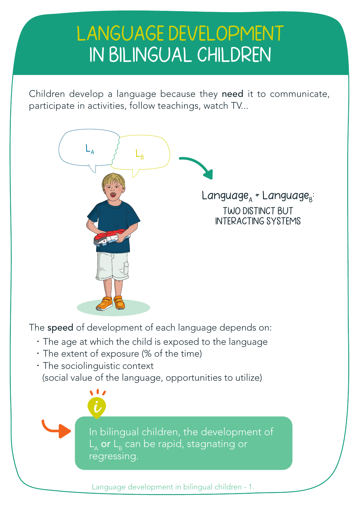# LANGUAGE DEVELOPMENT IN BILINGUAL CHILDREN

Children develop a language because they need it to communicate, participate in activities, follow teachings, watch TV...



The speed of development of each language depends on:

- The age at which the child is exposed to the language
- The extent of exposure (% of the time)

W.

• The sociolinguistic context (social value of the language, opportunities to utilize)

> In bilingual children, the development of  $L_{\rm A}$  or  $L_{\rm B}$  can be rapid, stagnating or regressing.

Language development in bilingual children - 1.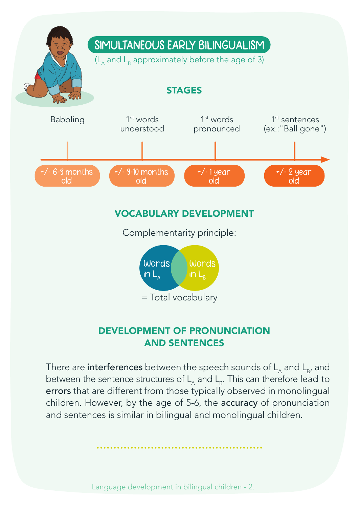

#### DEVELOPMENT OF PRONUNCIATION AND SENTENCES

There are interferences between the speech sounds of  $L_{\alpha}$  and  $L_{\beta}$ , and between the sentence structures of  $L_{\alpha}$  and  $L_{\alpha}$ . This can therefore lead to errors that are different from those typically observed in monolingual children. However, by the age of 5-6, the accuracy of pronunciation and sentences is similar in bilingual and monolingual children.

Language development in bilingual children - 2.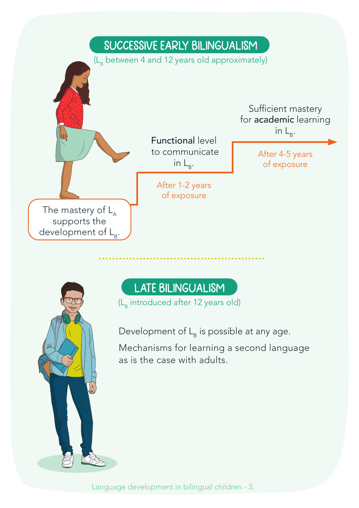



## LATE BILINGUALISM

(L<sub>p</sub> introduced after 12 years old)

Development of  $L_B$  is possible at any age.

Mechanisms for learning a second language as is the case with adults.